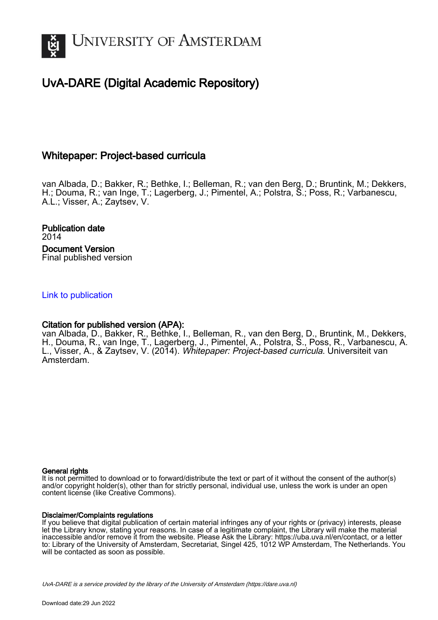

# UvA-DARE (Digital Academic Repository)

# Whitepaper: Project-based curricula

van Albada, D.; Bakker, R.; Bethke, I.; Belleman, R.; van den Berg, D.; Bruntink, M.; Dekkers, H.; Douma, R.; van Inge, T.; Lagerberg, J.; Pimentel, A.; Polstra, S.; Poss, R.; Varbanescu, A.L.; Visser, A.; Zaytsev, V.

Publication date 2014 Document Version Final published version

[Link to publication](https://dare.uva.nl/personal/pure/en/publications/whitepaper-projectbased-curricula(a2fe827e-3417-4921-bbb0-7dc7ca69549a).html)

## Citation for published version (APA):

van Albada, D., Bakker, R., Bethke, I., Belleman, R., van den Berg, D., Bruntink, M., Dekkers, H., Douma, R., van Inge, T., Lagerberg, J., Pimentel, A., Polstra, S., Poss, R., Varbanescu, A. L., Visser, A., & Zaytsev, V. (2014). Whitepaper: Project-based curricula. Universiteit van Amsterdam.

### General rights

It is not permitted to download or to forward/distribute the text or part of it without the consent of the author(s) and/or copyright holder(s), other than for strictly personal, individual use, unless the work is under an open content license (like Creative Commons).

### Disclaimer/Complaints regulations

If you believe that digital publication of certain material infringes any of your rights or (privacy) interests, please let the Library know, stating your reasons. In case of a legitimate complaint, the Library will make the material inaccessible and/or remove it from the website. Please Ask the Library: https://uba.uva.nl/en/contact, or a letter to: Library of the University of Amsterdam, Secretariat, Singel 425, 1012 WP Amsterdam, The Netherlands. You will be contacted as soon as possible.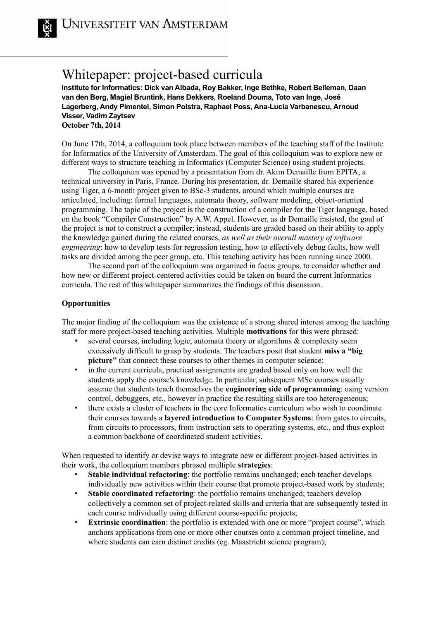# Whitepaper: project-based curricula

**Institute for Informatics: Dick van Albada, Roy Bakker, Inge Bethke, Robert Belleman, Daan van den Berg, Magiel Bruntink, Hans Dekkers, Roeland Douma, Toto van Inge, José Lagerberg, Andy Pimentel, Simon Polstra, Raphael Poss, Ana-Lucia Varbanescu, Arnoud Visser, Vadim Zaytsev October 7th, 2014**

On June 17th, 2014, a colloquium took place between members of the teaching staff of the Institute for Informatics of the University of Amsterdam. The goal of this colloquium was to explore new or different ways to structure teaching in Informatics (Computer Science) using student projects.

The colloquium was opened by a presentation from dr. Akim Demaille from EPITA, a technical university in Paris, France. During his presentation, dr. Demaille shared his experience using Tiger, a 6-month project given to BSc-3 students, around which multiple courses are articulated, including: formal languages, automata theory, software modeling, object-oriented programming. The topic of the project is the construction of a compiler for the Tiger language, based on the book "Compiler Construction" by A.W. Appel. However, as dr Demaille insisted, the goal of the project is not to construct a compiler; instead, students are graded based on their ability to apply the knowledge gained during the related courses, *as well as their overall mastery of software engineering*: how to develop tests for regression testing, how to effectively debug faults, how well tasks are divided among the peer group, etc. This teaching activity has been running since 2000.

The second part of the colloquium was organized in focus groups, to consider whether and how new or different project-centered activities could be taken on board the current Informatics curricula. The rest of this whitepaper summarizes the findings of this discussion.

# **Opportunities**

The major finding of the colloquium was the existence of a strong shared interest among the teaching staff for more project-based teaching activities. Multiple **motivations** for this were phrased:

- several courses, including logic, automata theory or algorithms  $\&$  complexity seem excessively difficult to grasp by students. The teachers posit that student **miss a "big picture"** that connect these courses to other themes in computer science;
- in the current curricula, practical assignments are graded based only on how well the students apply the course's knowledge. In particular, subsequent MSc courses usually assume that students teach themselves the **engineering side of programming**: using version control, debuggers, etc., however in practice the resulting skills are too heterogeneous;
- there exists a cluster of teachers in the core Informatics curriculum who wish to coordinate their courses towards a **layered introduction to Computer Systems**: from gates to circuits, from circuits to processors, from instruction sets to operating systems, etc., and thus exploit a common backbone of coordinated student activities.

When requested to identify or devise ways to integrate new or different project-based activities in their work, the colloquium members phrased multiple **strategies**:

- **Stable individual refactoring**: the portfolio remains unchanged; each teacher develops individually new activities within their course that promote project-based work by students;
- **Stable coordinated refactoring**: the portfolio remains unchanged; teachers develop collectively a common set of project-related skills and criteria that are subsequently tested in each course individually using different course-specific projects;
- **Extrinsic coordination**: the portfolio is extended with one or more "project course", which anchors applications from one or more other courses onto a common project timeline, and where students can earn distinct credits (eg. Maastricht science program);